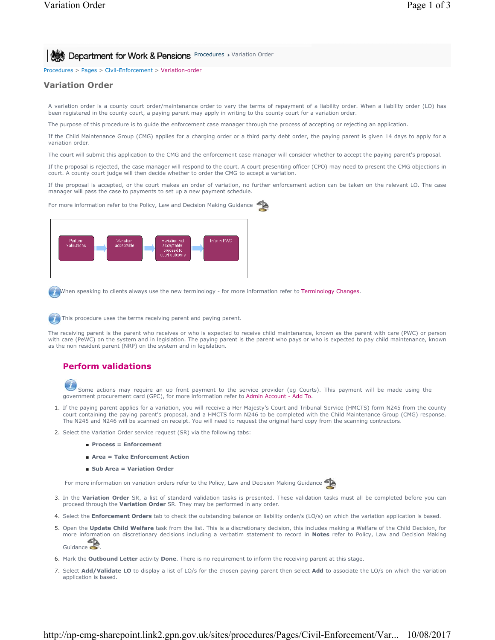**Procedures > Variation Order View York & Pensions** Procedures > Variation Order

Procedures > Pages > Civil-Enforcement > Variation-order

### **Variation Order**

A variation order is a county court order/maintenance order to vary the terms of repayment of a liability order. When a liability order (LO) has been registered in the county court, a paying parent may apply in writing to the county court for a variation order.

The purpose of this procedure is to guide the enforcement case manager through the process of accepting or rejecting an application.

If the Child Maintenance Group (CMG) applies for a charging order or a third party debt order, the paying parent is given 14 days to apply for a variation order.

The court will submit this application to the CMG and the enforcement case manager will consider whether to accept the paying parent's proposal.

If the proposal is rejected, the case manager will respond to the court. A court presenting officer (CPO) may need to present the CMG objections in court. A county court judge will then decide whether to order the CMG to accept a variation.

If the proposal is accepted, or the court makes an order of variation, no further enforcement action can be taken on the relevant LO. The case manager will pass the case to payments to set up a new payment schedule.

For more information refer to the Policy, Law and Decision Making Guidance



When speaking to clients always use the new terminology - for more information refer to Terminology Changes.

This procedure uses the terms receiving parent and paying parent.

The receiving parent is the parent who receives or who is expected to receive child maintenance, known as the parent with care (PWC) or person with care (PeWC) on the system and in legislation. The paying parent is the parent who pays or who is expected to pay child maintenance, known as the non resident parent (NRP) on the system and in legislation.

# **Perform validations**

Some actions may require an up front payment to the service provider (eg Courts). This payment will be made using the government procurement card (GPC), for more information refer to Admin Account - Add To.

- 1. If the paying parent applies for a variation, you will receive a Her Majesty's Court and Tribunal Service (HMCTS) form N245 from the county court containing the paying parent's proposal, and a HMCTS form N246 to be completed with the Child Maintenance Group (CMG) response. The N245 and N246 will be scanned on receipt. You will need to request the original hard copy from the scanning contractors.
- 2. Select the Variation Order service request (SR) via the following tabs:
	- **Process = Enforcement**
	- **Area = Take Enforcement Action**
	- **Sub Area = Variation Order**

For more information on variation orders refer to the Policy, Law and Decision Making Guidance

- 3. In the Variation Order SR, a list of standard validation tasks is presented. These validation tasks must all be completed before you can proceed through the **Variation Order** SR. They may be performed in any order.
- 4. Select the **Enforcement Orders** tab to check the outstanding balance on liability order/s (LO/s) on which the variation application is based.
- **5.** Open the Update Child Welfare task from the list. This is a discretionary decision, this includes making a Welfare of the Child Decision, for more information on discretionary decisions including a verbatim statement to record in **Notes** refer to Policy, Law and Decision Making Guidance
- 6. Mark the **Outbound Letter** activity **Done**. There is no requirement to inform the receiving parent at this stage.
- 7. Select **Add/Validate LO** to display a list of LO/s for the chosen paying parent then select **Add** to associate the LO/s on which the variation application is based.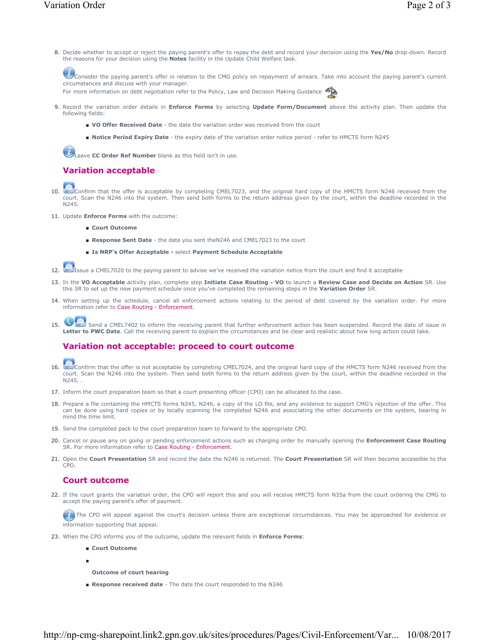- 
- Decide whether to accept or reject the paying parent's offer to repay the debt and record your decision using the **Yes/No** drop-down. Record 8. the reasons for your decision using the **Notes** facility in the Update Child Welfare task.

Consider the paying parent's offer in relation to the CMG policy on repayment of arrears. Take into account the paying parent's current circumstances and discuss with your manager.

For more information on debt negotiation refer to the Policy, Law and Decision Making Guidance

- **9.** Record the variation order details in **Enforce Forms** by selecting **Update Form/Document** above the activity plan. Then update the following fields:
	- **VO Offer Received Date** the date the variation order was received from the court
	- **Notice Period Expiry Date** the expiry date of the variation order notice period refer to HMCTS form N245

**U** Leave CC Order Ref Number blank as this field isn't in use.

# **Variation acceptable**

- Confirm that the offer is acceptable by completing CMEL7023, and the original hard copy of the HMCTS form N246 received from the court. Scan the N246 into the system. Then send both forms to the return address given by the court, within the deadline recorded in the N245. 10.
- 11. Update **Enforce Forms** with the outcome:
	- **Court Outcome**
	- **Response Sent Date** the date you sent theN246 and CMEL7023 to the court
	- **Is NRP's Offer Acceptable -** select **Payment Schedule Acceptable**
- 12. Issue a CMEL7020 to the paying parent to advise we've received the variation notice from the court and find it acceptable
- 13. In the VO Acceptable activity plan, complete step Initiate Case Routing VO to launch a Review Case and Decide on Action SR. Use this SR to set up the new payment schedule once you've completed the remaining steps in the **Variation Order** SR.
- 14. When setting up the schedule, cancel all enforcement actions relating to the period of debt covered by the variation order. For more information refer to Case Routing - Enforcement.
- Send a CMEL7402 to inform the receiving parent that further enforcement action has been suspended. Record the date of issue in Letter to PWC Date. Call the receiving parent to explain the circumstances and be clear and realistic about how long action could take. 15.

## **Variation not acceptable: proceed to court outcome**

- Confirm that the offer is not acceptable by completing CMEL7024, and the original hard copy of the HMCTS form N246 received from the court. Scan the N246 into the system. Then send both forms to the return address given by the court, within the deadline recorded in the N245. . 16.
- 17. Inform the court preparation team so that a court presenting officer (CPO) can be allocated to the case.
- 18. Prepare a file containing the HMCTS forms N245, N246, a copy of the LO file, and any evidence to support CMG's rejection of the offer. This can be done using hard copies or by locally scanning the completed N246 and associating the other documents on the system, bearing in mind the time limit.
- 19. Send the completed pack to the court preparation team to forward to the appropriate CPO.
- 20. Cancel or pause any on going or pending enforcement actions such as charging order by manually opening the Enforcement Case Routing SR. For more information refer to Case Routing - Enforcement.
- 21. Open the **Court Presentation** SR and record the date the N246 is returned. The **Court Presentation** SR will then become accessible to the CPO.

## **Court outcome**

■

22. If the court grants the variation order, the CPO will report this and you will receive HMCTS form N35a from the court ordering the CMG to accept the paying parent's offer of payment.

The CPO will appeal against the court's decision unless there are exceptional circumstances. You may be approached for evidence or information supporting that appeal.

- 23. When the CPO informs you of the outcome, update the relevant fields in **Enforce Forms**:
	- **Court Outcome**
	- **Outcome of court hearing**
	- **Response received date** The date the court responded to the N246